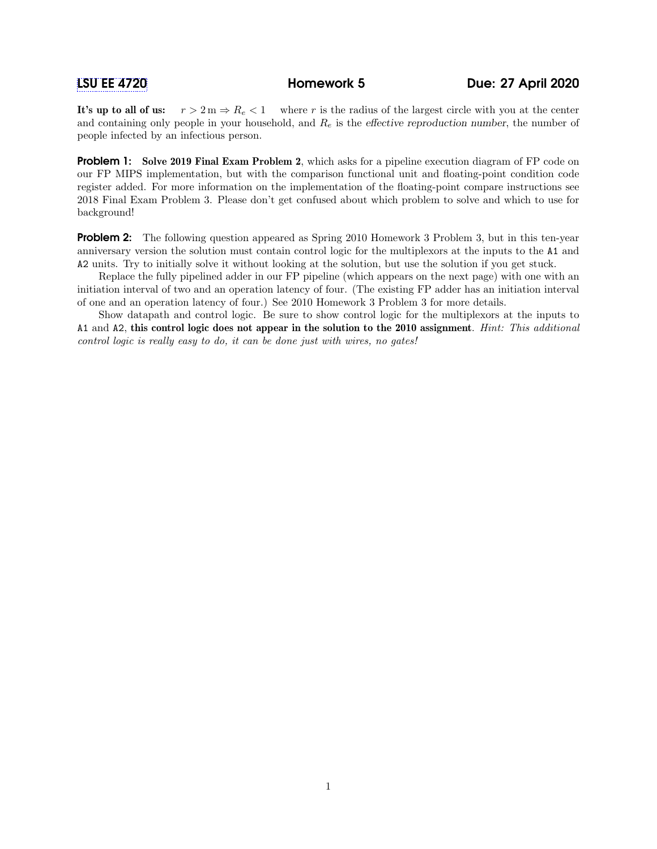It's up to all of us:  $r > 2$  m  $\Rightarrow$   $R_e$   $\lt 1$  where r is the radius of the largest circle with you at the center and containing only people in your household, and  $R_e$  is the effective reproduction number, the number of people infected by an infectious person.

**Problem 1:** Solve 2019 Final Exam Problem 2, which asks for a pipeline execution diagram of FP code on our FP MIPS implementation, but with the comparison functional unit and floating-point condition code register added. For more information on the implementation of the floating-point compare instructions see 2018 Final Exam Problem 3. Please don't get confused about which problem to solve and which to use for background!

**Problem 2:** The following question appeared as Spring 2010 Homework 3 Problem 3, but in this ten-year anniversary version the solution must contain control logic for the multiplexors at the inputs to the A1 and A2 units. Try to initially solve it without looking at the solution, but use the solution if you get stuck.

Replace the fully pipelined adder in our FP pipeline (which appears on the next page) with one with an initiation interval of two and an operation latency of four. (The existing FP adder has an initiation interval of one and an operation latency of four.) See 2010 Homework 3 Problem 3 for more details.

Show datapath and control logic. Be sure to show control logic for the multiplexors at the inputs to A1 and A2, this control logic does not appear in the solution to the 2010 assignment. Hint: This additional control logic is really easy to do, it can be done just with wires, no gates!